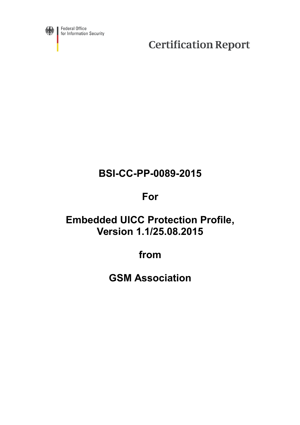

**Certification Report** 

# **BSI-CC-PP-0089-2015**

# **For**

# **Embedded UICC Protection Profile, Version 1.1/25.08.2015**

**from**

**GSM Association**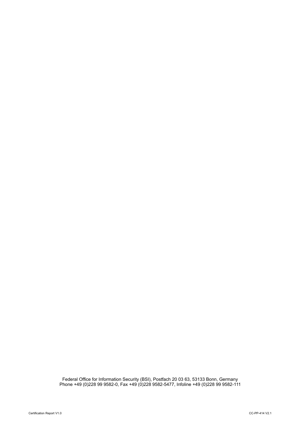Federal Office for Information Security (BSI), Postfach 20 03 63, 53133 Bonn, Germany Phone +49 (0)228 99 9582-0, Fax +49 (0)228 9582-5477, Infoline +49 (0)228 99 9582-111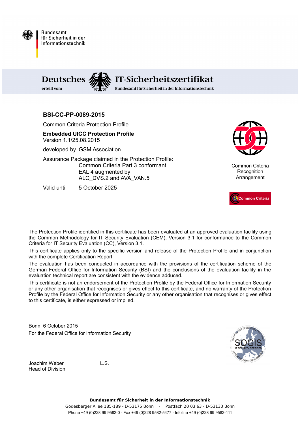

**Deutsches** erteilt vom



IT-Sicherheitszertifikat

Bundesamt für Sicherheit in der Informationstechnik

## **BSI-CC-PP-0089-2015**

Common Criteria Protection Profile

#### **Embedded UICC Protection Profile** Version 1.1/25.08.2015

developed by GSM Association

Assurance Package claimed in the Protection Profile: Common Criteria Part 3 conformant EAL 4 augmented by ALC\_DVS.2 and AVA\_VAN.5



Common Criteria **Recognition** Arrangement

Valid until 5 October 2025

*<u>A Common Criteria</u>* 

The Protection Profile identified in this certificate has been evaluated at an approved evaluation facility using the Common Methodology for IT Security Evaluation (CEM), Version 3.1 for conformance to the Common Criteria for IT Security Evaluation (CC), Version 3.1.

This certificate applies only to the specific version and release of the Protection Profile and in conjunction with the complete Certification Report.

The evaluation has been conducted in accordance with the provisions of the certification scheme of the German Federal Office for Information Security (BSI) and the conclusions of the evaluation facility in the evaluation technical report are consistent with the evidence adduced.

This certificate is not an endorsement of the Protection Profile by the Federal Office for Information Security or any other organisation that recognises or gives effect to this certificate, and no warranty of the Protection Profile by the Federal Office for Information Security or any other organisation that recognises or gives effect to this certificate, is either expressed or implied.

Bonn, 6 October 2015 For the Federal Office for Information Security



Joachim Weber L.S. Head of Division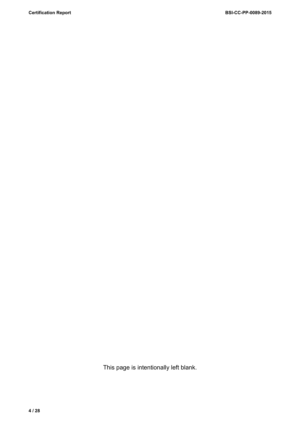This page is intentionally left blank.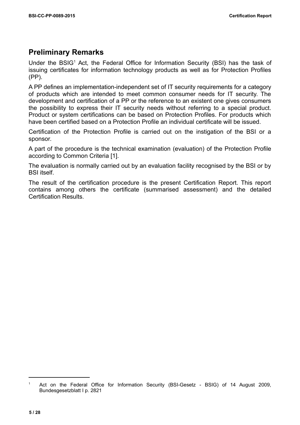# **Preliminary Remarks**

Under the BSIG<sup>[1](#page-4-0)</sup> Act, the Federal Office for Information Security (BSI) has the task of issuing certificates for information technology products as well as for Protection Profiles (PP).

A PP defines an implementation-independent set of IT security requirements for a category of products which are intended to meet common consumer needs for IT security. The development and certification of a PP or the reference to an existent one gives consumers the possibility to express their IT security needs without referring to a special product. Product or system certifications can be based on Protection Profiles. For products which have been certified based on a Protection Profile an individual certificate will be issued.

Certification of the Protection Profile is carried out on the instigation of the BSI or a sponsor.

A part of the procedure is the technical examination (evaluation) of the Protection Profile according to Common Criteria [1].

The evaluation is normally carried out by an evaluation facility recognised by the BSI or by BSI itself.

The result of the certification procedure is the present Certification Report. This report contains among others the certificate (summarised assessment) and the detailed Certification Results.

<span id="page-4-0"></span><sup>&</sup>lt;sup>1</sup> Act on the Federal Office for Information Security (BSI-Gesetz - BSIG) of 14 August 2009, Bundesgesetzblatt I p. 2821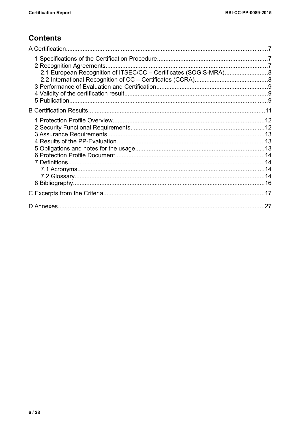# **Contents**

| 2 Recognition Agreements. |  |
|---------------------------|--|
|                           |  |
|                           |  |
|                           |  |
| 27                        |  |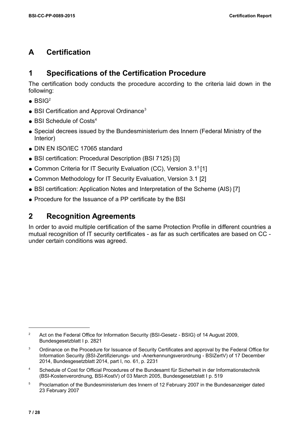# **A Certification**

# **1 Specifications of the Certification Procedure**

The certification body conducts the procedure according to the criteria laid down in the following:

- $\bullet$  BSIG<sup>[2](#page-6-0)</sup>
- $\bullet$  BSI Certification and Approval Ordinance<sup>[3](#page-6-1)</sup>
- $\bullet$  BSI Schedule of Costs<sup>[4](#page-6-2)</sup>
- Special decrees issued by the Bundesministerium des Innern (Federal Ministry of the Interior)
- DIN EN ISO/IEC 17065 standard
- BSI certification: Procedural Description (BSI 7125) [3]
- Common Criteria for IT Security Evaluation (CC), Version 3.1<sup>[5](#page-6-3)</sup>[1]
- Common Methodology for IT Security Evaluation, Version 3.1 [2]
- BSI certification: Application Notes and Interpretation of the Scheme (AIS) [7]
- Procedure for the Issuance of a PP certificate by the BSI

# **2 Recognition Agreements**

In order to avoid multiple certification of the same Protection Profile in different countries a mutual recognition of IT security certificates - as far as such certificates are based on CC under certain conditions was agreed.

<span id="page-6-0"></span><sup>&</sup>lt;sup>2</sup> Act on the Federal Office for Information Security (BSI-Gesetz - BSIG) of 14 August 2009, Bundesgesetzblatt I p. 2821

<span id="page-6-1"></span><sup>&</sup>lt;sup>3</sup> Ordinance on the Procedure for Issuance of Security Certificates and approval by the Federal Office for Information Security (BSI-Zertifizierungs- und -Anerkennungsverordnung - BSIZertV) of 17 December 2014, Bundesgesetzblatt 2014, part I, no. 61, p. 2231

<span id="page-6-2"></span><sup>4</sup> Schedule of Cost for Official Procedures of the Bundesamt für Sicherheit in der Informationstechnik (BSI-Kostenverordnung, BSI-KostV) of 03 March 2005, Bundesgesetzblatt I p. 519

<span id="page-6-3"></span><sup>&</sup>lt;sup>5</sup> Proclamation of the Bundesministerium des Innern of 12 February 2007 in the Bundesanzeiger dated 23 February 2007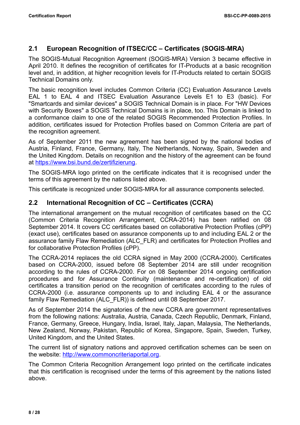## **2.1 European Recognition of ITSEC/CC – Certificates (SOGIS-MRA)**

The SOGIS-Mutual Recognition Agreement (SOGIS-MRA) Version 3 became effective in April 2010. It defines the recognition of certificates for IT-Products at a basic recognition level and, in addition, at higher recognition levels for IT-Products related to certain SOGIS Technical Domains only.

The basic recognition level includes Common Criteria (CC) Evaluation Assurance Levels EAL 1 to EAL 4 and ITSEC Evaluation Assurance Levels E1 to E3 (basic). For "Smartcards and similar devices" a SOGIS Technical Domain is in place. For "HW Devices with Security Boxes" a SOGIS Technical Domains is in place, too. This Domain is linked to a conformance claim to one of the related SOGIS Recommended Protection Profiles. In addition, certificates issued for Protection Profiles based on Common Criteria are part of the recognition agreement.

As of September 2011 the new agreement has been signed by the national bodies of Austria, Finland, France, Germany, Italy, The Netherlands, Norway, Spain, Sweden and the United Kingdom. Details on recognition and the history of the agreement can be found at [https://www.bsi.bund.de/zertifizierung.](https://www.bsi.bund.de/zertifizierung)

The SOGIS-MRA logo printed on the certificate indicates that it is recognised under the terms of this agreement by the nations listed above.

This certificate is recognized under SOGIS-MRA for all assurance components selected.

## **2.2 International Recognition of CC – Certificates (CCRA)**

The international arrangement on the mutual recognition of certificates based on the CC (Common Criteria Recognition Arrangement, CCRA-2014) has been ratified on 08 September 2014. It covers CC certificates based on collaborative Protection Profiles (cPP) (exact use), certificates based on assurance components up to and including EAL 2 or the assurance family Flaw Remediation (ALC\_FLR) and certificates for Protection Profiles and for collaborative Protection Profiles (cPP).

The CCRA-2014 replaces the old CCRA signed in May 2000 (CCRA-2000). Certificates based on CCRA-2000, issued before 08 September 2014 are still under recognition according to the rules of CCRA-2000. For on 08 September 2014 ongoing certification procedures and for Assurance Continuity (maintenance and re-certification) of old certificates a transition period on the recognition of certificates according to the rules of CCRA-2000 (i.e. assurance components up to and including EAL 4 or the assurance family Flaw Remediation (ALC\_FLR)) is defined until 08 September 2017.

As of September 2014 the signatories of the new CCRA are government representatives from the following nations: Australia, Austria, Canada, Czech Republic, Denmark, Finland, France, Germany, Greece, Hungary, India, Israel, Italy, Japan, Malaysia, The Netherlands, New Zealand, Norway, Pakistan, Republic of Korea, Singapore, Spain, Sweden, Turkey, United Kingdom, and the United States.

The current list of signatory nations and approved certification schemes can be seen on the website: [http://www.commoncriteriaportal.org.](http://www.commoncriteriaportal.org/)

The Common Criteria Recognition Arrangement logo printed on the certificate indicates that this certification is recognised under the terms of this agreement by the nations listed above.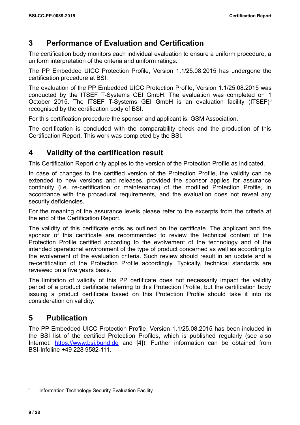# **3 Performance of Evaluation and Certification**

The certification body monitors each individual evaluation to ensure a uniform procedure, a uniform interpretation of the criteria and uniform ratings.

The PP Embedded UICC Protection Profile, Version 1.1/25.08.2015 has undergone the certification procedure at BSI.

The evaluation of the PP Embedded UICC Protection Profile, Version 1.1/25.08.2015 was conducted by the ITSEF T-Systems GEI GmbH. The evaluation was completed on 1 October 2015. The ITSEF T-Systems GEI GmbH is an evaluation facility (ITSEF)<sup>[6](#page-8-0)</sup> recognised by the certification body of BSI.

For this certification procedure the sponsor and applicant is: GSM Association.

The certification is concluded with the comparability check and the production of this Certification Report. This work was completed by the BSI.

# **4 Validity of the certification result**

This Certification Report only applies to the version of the Protection Profile as indicated.

In case of changes to the certified version of the Protection Profile, the validity can be extended to new versions and releases, provided the sponsor applies for assurance continuity (i.e. re-certification or maintenance) of the modified Protection Profile, in accordance with the procedural requirements, and the evaluation does not reveal any security deficiencies.

For the meaning of the assurance levels please refer to the excerpts from the criteria at the end of the Certification Report.

The validity of this certificate ends as outlined on the certificate. The applicant and the sponsor of this certificate are recommended to review the technical content of the Protection Profile certified according to the evolvement of the technology and of the intended operational environment of the type of product concerned as well as according to the evolvement of the evaluation criteria. Such review should result in an update and a re-certification of the Protection Profile accordingly. Typically, technical standards are reviewed on a five years basis.

The limitation of validity of this PP certificate does not necessarily impact the validity period of a product certificate referring to this Protection Profile, but the certification body issuing a product certificate based on this Protection Profile should take it into its consideration on validity.

# **5 Publication**

The PP Embedded UICC Protection Profile, Version 1.1/25.08.2015 has been included in the BSI list of the certified Protection Profiles, which is published regularly (see also Internet: [https://www.bsi.bund.de](https://www.bsi.bund.de/) and [4]). Further information can be obtained from BSI-Infoline +49 228 9582-111.

<span id="page-8-0"></span><sup>6</sup> Information Technology Security Evaluation Facility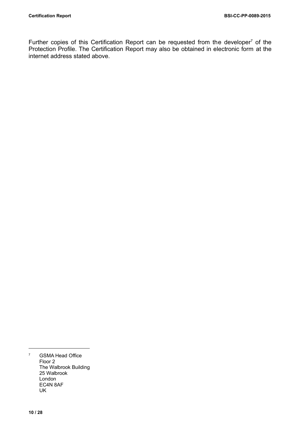Further copies of this Certification Report can be requested from the developer<sup>[7](#page-9-0)</sup> of the Protection Profile. The Certification Report may also be obtained in electronic form at the internet address stated above.

<span id="page-9-0"></span><sup>7</sup> GSMA Head Office Floor 2 The Walbrook Building 25 Walbrook London EC4N 8AF UK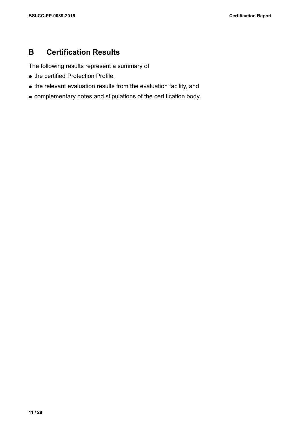# **B Certification Results**

The following results represent a summary of

- the certified Protection Profile,
- the relevant evaluation results from the evaluation facility, and
- complementary notes and stipulations of the certification body.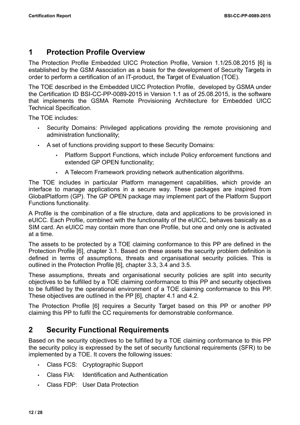# **1 Protection Profile Overview**

The Protection Profile Embedded UICC Protection Profile, Version 1.1/25.08.2015 [6] is established by the GSM Association as a basis for the development of Security Targets in order to perform a certification of an IT-product, the Target of Evaluation (TOE).

The TOE described in the Embedded UICC Protection Profile, developed by GSMA under the Certification ID BSI-CC-PP-0089-2015 in Version 1.1 as of 25.08.2015, is the software that implements the GSMA Remote Provisioning Architecture for Embedded UICC Technical Specification.

The TOE includes:

- Security Domains: Privileged applications providing the remote provisioning and administration functionality;
- A set of functions providing support to these Security Domains:
	- Platform Support Functions, which include Policy enforcement functions and extended GP OPEN functionality;
	- A Telecom Framework providing network authentication algorithms.

The TOE includes in particular Platform management capabilities, which provide an interface to manage applications in a secure way. These packages are inspired from GlobalPlatform (GP). The GP OPEN package may implement part of the Platform Support Functions functionality.

A Profile is the combination of a file structure, data and applications to be provisioned in eUICC. Each Profile, combined with the functionality of the eUICC, behaves basically as a SIM card. An eUICC may contain more than one Profile, but one and only one is activated at a time.

The assets to be protected by a TOE claiming conformance to this PP are defined in the Protection Profile [6], chapter 3.1. Based on these assets the security problem definition is defined in terms of assumptions, threats and organisational security policies. This is outlined in the Protection Profile [6], chapter 3.3, 3.4 and 3.5.

These assumptions, threats and organisational security policies are split into security objectives to be fulfilled by a TOE claiming conformance to this PP and security objectives to be fulfilled by the operational environment of a TOE claiming conformance to this PP. These objectives are outlined in the PP [6], chapter 4.1 and 4.2.

The Protection Profile [6] requires a Security Target based on this PP or another PP claiming this PP to fulfil the CC requirements for demonstrable conformance.

# **2 Security Functional Requirements**

Based on the security objectives to be fulfilled by a TOE claiming conformance to this PP the security policy is expressed by the set of security functional requirements (SFR) to be implemented by a TOE. It covers the following issues:

- Class FCS: Cryptographic Support
- Class FIA: Identification and Authentication
- Class FDP: User Data Protection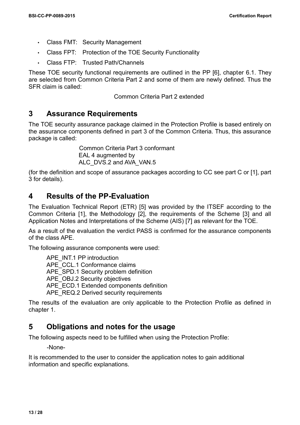- Class FMT: Security Management
- Class FPT: Protection of the TOE Security Functionality
- Class FTP: Trusted Path/Channels

These TOE security functional requirements are outlined in the PP [6], chapter 6.1. They are selected from Common Criteria Part 2 and some of them are newly defined. Thus the SFR claim is called:

Common Criteria Part 2 extended

# **3 Assurance Requirements**

The TOE security assurance package claimed in the Protection Profile is based entirely on the assurance components defined in part 3 of the Common Criteria. Thus, this assurance package is called:

> Common Criteria Part 3 conformant EAL 4 augmented by ALC DVS.2 and AVA VAN.5

(for the definition and scope of assurance packages according to CC see part C or [1], part 3 for details).

# **4 Results of the PP-Evaluation**

The Evaluation Technical Report (ETR) [5] was provided by the ITSEF according to the Common Criteria [1], the Methodology [2], the requirements of the Scheme [3] and all Application Notes and Interpretations of the Scheme (AIS) [7] as relevant for the TOE.

As a result of the evaluation the verdict PASS is confirmed for the assurance components of the class APE.

The following assurance components were used:

APE\_INT.1 PP introduction APE\_CCL.1 Conformance claims

APE\_SPD.1 Security problem definition

APE\_OBJ.2 Security objectives

APE\_ECD.1 Extended components definition

APE\_REQ.2 Derived security requirements

The results of the evaluation are only applicable to the Protection Profile as defined in chapter 1.

# **5 Obligations and notes for the usage**

The following aspects need to be fulfilled when using the Protection Profile:

-None-

It is recommended to the user to consider the application notes to gain additional information and specific explanations.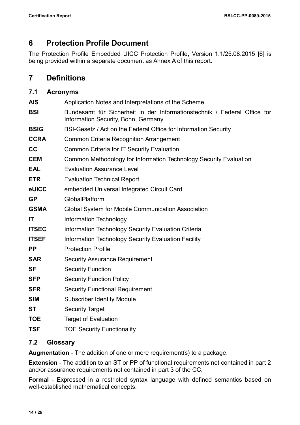# **6 Protection Profile Document**

The Protection Profile Embedded UICC Protection Profile, Version 1.1/25.08.2015 [6] is being provided within a separate document as Annex A of this report.

# **7 Definitions**

| 7.1          | <b>Acronyms</b>                                                                                                 |  |  |  |  |  |
|--------------|-----------------------------------------------------------------------------------------------------------------|--|--|--|--|--|
| <b>AIS</b>   | Application Notes and Interpretations of the Scheme                                                             |  |  |  |  |  |
| <b>BSI</b>   | Bundesamt für Sicherheit in der Informationstechnik / Federal Office for<br>Information Security, Bonn, Germany |  |  |  |  |  |
| <b>BSIG</b>  | BSI-Gesetz / Act on the Federal Office for Information Security                                                 |  |  |  |  |  |
| <b>CCRA</b>  | <b>Common Criteria Recognition Arrangement</b>                                                                  |  |  |  |  |  |
| cc           | <b>Common Criteria for IT Security Evaluation</b>                                                               |  |  |  |  |  |
| <b>CEM</b>   | Common Methodology for Information Technology Security Evaluation                                               |  |  |  |  |  |
| <b>EAL</b>   | <b>Evaluation Assurance Level</b>                                                                               |  |  |  |  |  |
| <b>ETR</b>   | <b>Evaluation Technical Report</b>                                                                              |  |  |  |  |  |
| eUICC        | embedded Universal Integrated Circuit Card                                                                      |  |  |  |  |  |
| <b>GP</b>    | GlobalPlatform                                                                                                  |  |  |  |  |  |
| <b>GSMA</b>  | Global System for Mobile Communication Association                                                              |  |  |  |  |  |
| IT           | Information Technology                                                                                          |  |  |  |  |  |
| <b>ITSEC</b> | Information Technology Security Evaluation Criteria                                                             |  |  |  |  |  |
| <b>ITSEF</b> | Information Technology Security Evaluation Facility                                                             |  |  |  |  |  |
| <b>PP</b>    | <b>Protection Profile</b>                                                                                       |  |  |  |  |  |
| <b>SAR</b>   | <b>Security Assurance Requirement</b>                                                                           |  |  |  |  |  |
| <b>SF</b>    | <b>Security Function</b>                                                                                        |  |  |  |  |  |
| <b>SFP</b>   | <b>Security Function Policy</b>                                                                                 |  |  |  |  |  |
| <b>SFR</b>   | <b>Security Functional Requirement</b>                                                                          |  |  |  |  |  |
| <b>SIM</b>   | <b>Subscriber Identity Module</b>                                                                               |  |  |  |  |  |
| <b>ST</b>    | <b>Security Target</b>                                                                                          |  |  |  |  |  |
| <b>TOE</b>   | <b>Target of Evaluation</b>                                                                                     |  |  |  |  |  |
| <b>TSF</b>   | <b>TOE Security Functionality</b>                                                                               |  |  |  |  |  |

# **7.2 Glossary**

**Augmentation** - The addition of one or more requirement(s) to a package.

**Extension** - The addition to an ST or PP of functional requirements not contained in part 2 and/or assurance requirements not contained in part 3 of the CC.

**Formal** - Expressed in a restricted syntax language with defined semantics based on well-established mathematical concepts.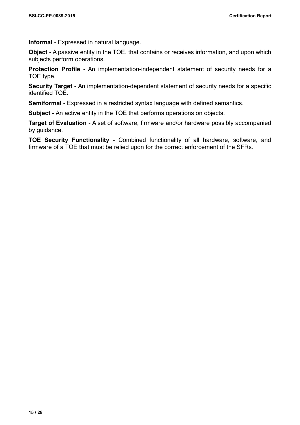**Informal** - Expressed in natural language.

**Object** - A passive entity in the TOE, that contains or receives information, and upon which subjects perform operations.

**Protection Profile** - An implementation-independent statement of security needs for a TOE type.

**Security Target** - An implementation-dependent statement of security needs for a specific identified TOE.

**Semiformal** - Expressed in a restricted syntax language with defined semantics.

**Subject** - An active entity in the TOE that performs operations on objects.

**Target of Evaluation** - A set of software, firmware and/or hardware possibly accompanied by guidance.

**TOE Security Functionality** - Combined functionality of all hardware, software, and firmware of a TOE that must be relied upon for the correct enforcement of the SFRs.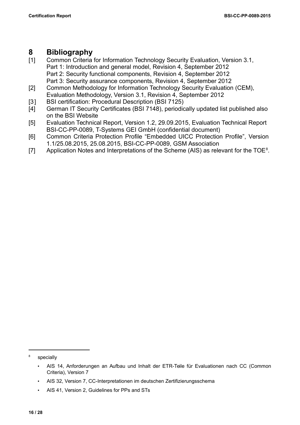# **8 Bibliography**

- [1] Common Criteria for Information Technology Security Evaluation, Version 3.1, Part 1: Introduction and general model, Revision 4, September 2012 Part 2: Security functional components, Revision 4, September 2012 Part 3: Security assurance components, Revision 4, September 2012
- [2] Common Methodology for Information Technology Security Evaluation (CEM), Evaluation Methodology, Version 3.1, Revision 4, September 2012
- [3] BSI certification: Procedural Description (BSI 7125)
- [4] German IT Security Certificates (BSI 7148), periodically updated list published also on the BSI Website
- [5] Evaluation Technical Report, Version 1.2, 29.09.2015, Evaluation Technical Report BSI-CC-PP-0089, T-Systems GEI GmbH (confidential document)
- [6] Common Criteria Protection Profile "Embedded UICC Protection Profile", Version 1.1/25.08.2015, 25.08.2015, BSI-CC-PP-0089, GSM Association
- [7] Application Notes and Interpretations of the Scheme (AIS) as relevant for the TOE $8$ .

<span id="page-15-0"></span><sup>8</sup> specially

<sup>•</sup> AIS 14, Anforderungen an Aufbau und Inhalt der ETR-Teile für Evaluationen nach CC (Common Criteria), Version 7

<sup>•</sup> AIS 32, Version 7, CC-Interpretationen im deutschen Zertifizierungsschema

<sup>•</sup> AIS 41, Version 2, Guidelines for PPs and STs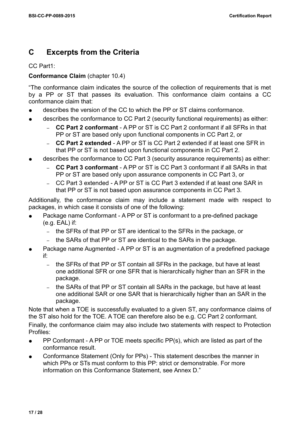# **C Excerpts from the Criteria**

CC Part1:

## **Conformance Claim** (chapter 10.4)

"The conformance claim indicates the source of the collection of requirements that is met by a PP or ST that passes its evaluation. This conformance claim contains a CC conformance claim that:

- describes the version of the CC to which the PP or ST claims conformance.
- describes the conformance to CC Part 2 (security functional requirements) as either:
	- **CC Part 2 conformant**  A PP or ST is CC Part 2 conformant if all SFRs in that PP or ST are based only upon functional components in CC Part 2, or
	- **CC Part 2 extended** A PP or ST is CC Part 2 extended if at least one SFR in that PP or ST is not based upon functional components in CC Part 2.
- describes the conformance to CC Part 3 (security assurance requirements) as either:
	- **CC Part 3 conformant** A PP or ST is CC Part 3 conformant if all SARs in that PP or ST are based only upon assurance components in CC Part 3, or
		- CC Part 3 extended A PP or ST is CC Part 3 extended if at least one SAR in that PP or ST is not based upon assurance components in CC Part 3.

Additionally, the conformance claim may include a statement made with respect to packages, in which case it consists of one of the following:

- Package name Conformant A PP or ST is conformant to a pre-defined package (e.g. EAL) if:
	- the SFRs of that PP or ST are identical to the SFRs in the package, or
	- the SARs of that PP or ST are identical to the SARs in the package.
- Package name Augmented A PP or ST is an augmentation of a predefined package if:
	- the SFRs of that PP or ST contain all SFRs in the package, but have at least one additional SFR or one SFR that is hierarchically higher than an SFR in the package.
	- the SARs of that PP or ST contain all SARs in the package, but have at least one additional SAR or one SAR that is hierarchically higher than an SAR in the package.

Note that when a TOE is successfully evaluated to a given ST, any conformance claims of the ST also hold for the TOE. A TOE can therefore also be e.g. CC Part 2 conformant. Finally, the conformance claim may also include two statements with respect to Protection Profiles:

- PP Conformant A PP or TOE meets specific PP(s), which are listed as part of the conformance result.
- Conformance Statement (Only for PPs) This statement describes the manner in which PPs or STs must conform to this PP: strict or demonstrable. For more information on this Conformance Statement, see Annex D."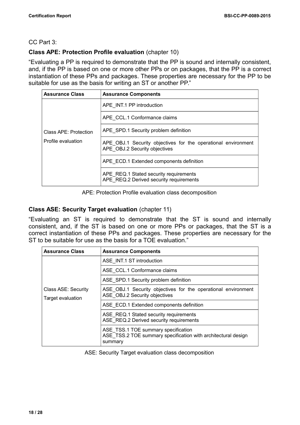### CC Part 3:

## **Class APE: Protection Profile evaluation** (chapter 10)

"Evaluating a PP is required to demonstrate that the PP is sound and internally consistent, and, if the PP is based on one or more other PPs or on packages, that the PP is a correct instantiation of these PPs and packages. These properties are necessary for the PP to be suitable for use as the basis for writing an ST or another PP."

| <b>Assurance Class</b> | <b>Assurance Components</b>                                                                    |  |  |  |  |
|------------------------|------------------------------------------------------------------------------------------------|--|--|--|--|
|                        | APE INT.1 PP introduction                                                                      |  |  |  |  |
|                        | APE CCL.1 Conformance claims                                                                   |  |  |  |  |
| Class APE: Protection  | APE SPD.1 Security problem definition                                                          |  |  |  |  |
| Profile evaluation     | APE OBJ.1 Security objectives for the operational environment<br>APE OBJ.2 Security objectives |  |  |  |  |
|                        | APE ECD.1 Extended components definition                                                       |  |  |  |  |
|                        | APE REQ.1 Stated security requirements<br>APE REQ.2 Derived security requirements              |  |  |  |  |

APE: Protection Profile evaluation class decomposition

## **Class ASE: Security Target evaluation** (chapter 11)

"Evaluating an ST is required to demonstrate that the ST is sound and internally consistent, and, if the ST is based on one or more PPs or packages, that the ST is a correct instantiation of these PPs and packages. These properties are necessary for the ST to be suitable for use as the basis for a TOE evaluation."

| <b>Assurance Class</b>                   | <b>Assurance Components</b>                                                                                     |  |  |  |  |
|------------------------------------------|-----------------------------------------------------------------------------------------------------------------|--|--|--|--|
|                                          | ASE INT.1 ST introduction                                                                                       |  |  |  |  |
|                                          | ASE CCL.1 Conformance claims                                                                                    |  |  |  |  |
|                                          | ASE SPD.1 Security problem definition                                                                           |  |  |  |  |
| Class ASE: Security<br>Target evaluation | ASE OBJ.1 Security objectives for the operational environment<br>ASE OBJ.2 Security objectives                  |  |  |  |  |
|                                          | ASE ECD.1 Extended components definition                                                                        |  |  |  |  |
|                                          | ASE REQ.1 Stated security requirements<br>ASE REQ.2 Derived security requirements                               |  |  |  |  |
|                                          | ASE TSS.1 TOE summary specification<br>ASE TSS.2 TOE summary specification with architectural design<br>summary |  |  |  |  |

ASE: Security Target evaluation class decomposition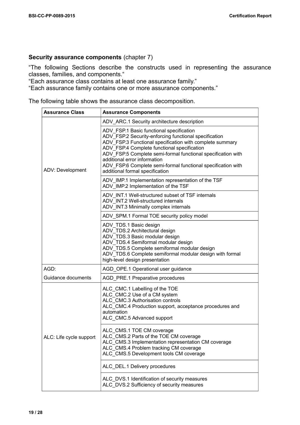#### **Security assurance components** (chapter 7)

"The following Sections describe the constructs used in representing the assurance classes, families, and components."

"Each assurance class contains at least one assurance family."

"Each assurance family contains one or more assurance components."

The following table shows the assurance class decomposition.

| <b>Assurance Class</b><br><b>Assurance Components</b> |                                                                                                                                                                                                                                                                                                                                                                                                                 |  |  |  |  |  |
|-------------------------------------------------------|-----------------------------------------------------------------------------------------------------------------------------------------------------------------------------------------------------------------------------------------------------------------------------------------------------------------------------------------------------------------------------------------------------------------|--|--|--|--|--|
|                                                       | ADV ARC.1 Security architecture description                                                                                                                                                                                                                                                                                                                                                                     |  |  |  |  |  |
| ADV: Development                                      | ADV_FSP.1 Basic functional specification<br>ADV_FSP.2 Security-enforcing functional specification<br>ADV FSP.3 Functional specification with complete summary<br>ADV_FSP.4 Complete functional specification<br>ADV_FSP.5 Complete semi-formal functional specification with<br>additional error information<br>ADV_FSP.6 Complete semi-formal functional specification with<br>additional formal specification |  |  |  |  |  |
|                                                       | ADV_IMP.1 Implementation representation of the TSF<br>ADV IMP.2 Implementation of the TSF                                                                                                                                                                                                                                                                                                                       |  |  |  |  |  |
|                                                       | ADV INT.1 Well-structured subset of TSF internals<br>ADV INT.2 Well-structured internals<br>ADV INT.3 Minimally complex internals                                                                                                                                                                                                                                                                               |  |  |  |  |  |
|                                                       | ADV_SPM.1 Formal TOE security policy model                                                                                                                                                                                                                                                                                                                                                                      |  |  |  |  |  |
|                                                       | ADV_TDS.1 Basic design<br>ADV TDS.2 Architectural design<br>ADV TDS.3 Basic modular design<br>ADV TDS.4 Semiformal modular design<br>ADV TDS.5 Complete semiformal modular design<br>ADV TDS.6 Complete semiformal modular design with formal<br>high-level design presentation                                                                                                                                 |  |  |  |  |  |
| AGD:                                                  | AGD_OPE.1 Operational user guidance                                                                                                                                                                                                                                                                                                                                                                             |  |  |  |  |  |
| Guidance documents                                    | AGD_PRE.1 Preparative procedures                                                                                                                                                                                                                                                                                                                                                                                |  |  |  |  |  |
|                                                       | ALC_CMC.1 Labelling of the TOE<br>ALC_CMC.2 Use of a CM system<br>ALC CMC.3 Authorisation controls<br>ALC_CMC.4 Production support, acceptance procedures and<br>automation<br>ALC_CMC.5 Advanced support                                                                                                                                                                                                       |  |  |  |  |  |
| ALC: Life cycle support                               | ALC_CMS.1 TOE CM coverage<br>ALC_CMS.2 Parts of the TOE CM coverage<br>ALC_CMS.3 Implementation representation CM coverage<br>ALC CMS.4 Problem tracking CM coverage<br>ALC_CMS.5 Development tools CM coverage                                                                                                                                                                                                 |  |  |  |  |  |
|                                                       | ALC_DEL.1 Delivery procedures                                                                                                                                                                                                                                                                                                                                                                                   |  |  |  |  |  |
|                                                       | ALC DVS.1 Identification of security measures<br>ALC_DVS.2 Sufficiency of security measures                                                                                                                                                                                                                                                                                                                     |  |  |  |  |  |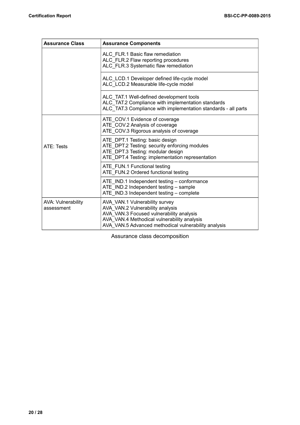| <b>Assurance Class</b>                  | <b>Assurance Components</b>                                                                                                                                                                                           |  |  |  |  |  |
|-----------------------------------------|-----------------------------------------------------------------------------------------------------------------------------------------------------------------------------------------------------------------------|--|--|--|--|--|
|                                         | ALC FLR.1 Basic flaw remediation<br>ALC FLR.2 Flaw reporting procedures<br>ALC FLR.3 Systematic flaw remediation                                                                                                      |  |  |  |  |  |
|                                         | ALC_LCD.1 Developer defined life-cycle model<br>ALC LCD.2 Measurable life-cycle model                                                                                                                                 |  |  |  |  |  |
|                                         | ALC TAT.1 Well-defined development tools<br>ALC TAT.2 Compliance with implementation standards<br>ALC TAT.3 Compliance with implementation standards - all parts                                                      |  |  |  |  |  |
|                                         | ATE COV.1 Evidence of coverage<br>ATE COV.2 Analysis of coverage<br>ATE COV.3 Rigorous analysis of coverage                                                                                                           |  |  |  |  |  |
| ATE: Tests                              | ATE DPT.1 Testing: basic design<br>ATE DPT.2 Testing: security enforcing modules<br>ATE DPT.3 Testing: modular design<br>ATE DPT.4 Testing: implementation representation                                             |  |  |  |  |  |
|                                         | ATE FUN.1 Functional testing<br>ATE FUN.2 Ordered functional testing                                                                                                                                                  |  |  |  |  |  |
|                                         | ATE IND.1 Independent testing - conformance<br>ATE IND.2 Independent testing - sample<br>ATE IND.3 Independent testing - complete                                                                                     |  |  |  |  |  |
| <b>AVA: Vulnerability</b><br>assessment | AVA VAN.1 Vulnerability survey<br>AVA VAN.2 Vulnerability analysis<br>AVA VAN.3 Focused vulnerability analysis<br>AVA VAN.4 Methodical vulnerability analysis<br>AVA VAN.5 Advanced methodical vulnerability analysis |  |  |  |  |  |

Assurance class decomposition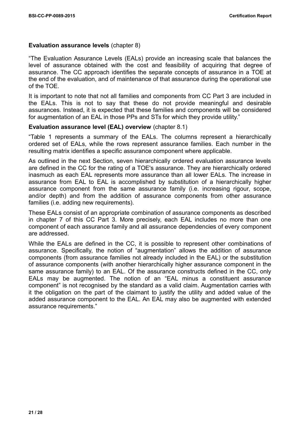### **Evaluation assurance levels** (chapter 8)

"The Evaluation Assurance Levels (EALs) provide an increasing scale that balances the level of assurance obtained with the cost and feasibility of acquiring that degree of assurance. The CC approach identifies the separate concepts of assurance in a TOE at the end of the evaluation, and of maintenance of that assurance during the operational use of the TOE.

It is important to note that not all families and components from CC Part 3 are included in the EALs. This is not to say that these do not provide meaningful and desirable assurances. Instead, it is expected that these families and components will be considered for augmentation of an EAL in those PPs and STs for which they provide utility."

#### **Evaluation assurance level (EAL) overview** (chapter 8.1)

"Table 1 represents a summary of the EALs. The columns represent a hierarchically ordered set of EALs, while the rows represent assurance families. Each number in the resulting matrix identifies a specific assurance component where applicable.

As outlined in the next Section, seven hierarchically ordered evaluation assurance levels are defined in the CC for the rating of a TOE's assurance. They are hierarchically ordered inasmuch as each EAL represents more assurance than all lower EALs. The increase in assurance from EAL to EAL is accomplished by substitution of a hierarchically higher assurance component from the same assurance family (i.e. increasing rigour, scope, and/or depth) and from the addition of assurance components from other assurance families (i.e. adding new requirements).

These EALs consist of an appropriate combination of assurance components as described in chapter 7 of this CC Part 3. More precisely, each EAL includes no more than one component of each assurance family and all assurance dependencies of every component are addressed.

While the EALs are defined in the CC, it is possible to represent other combinations of assurance. Specifically, the notion of "augmentation" allows the addition of assurance components (from assurance families not already included in the EAL) or the substitution of assurance components (with another hierarchically higher assurance component in the same assurance family) to an EAL. Of the assurance constructs defined in the CC, only EALs may be augmented. The notion of an "EAL minus a constituent assurance component" is not recognised by the standard as a valid claim. Augmentation carries with it the obligation on the part of the claimant to justify the utility and added value of the added assurance component to the EAL. An EAL may also be augmented with extended assurance requirements."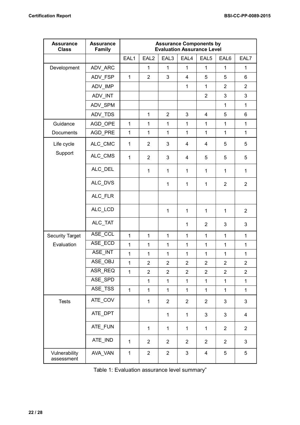| <b>Assurance</b><br><b>Class</b> | <b>Assurance</b><br><b>Family</b> | <b>Assurance Components by</b><br><b>Evaluation Assurance Level</b> |                  |                  |                |                         |                |                |
|----------------------------------|-----------------------------------|---------------------------------------------------------------------|------------------|------------------|----------------|-------------------------|----------------|----------------|
|                                  |                                   | EAL1                                                                | EAL <sub>2</sub> | EAL3             | EAL4           | EAL <sub>5</sub>        | EAL6           | EAL7           |
| Development                      | ADV_ARC                           |                                                                     | 1                | 1                | $\mathbf 1$    | $\mathbf{1}$            | $\mathbf{1}$   | $\mathbf{1}$   |
|                                  | ADV_FSP                           | $\mathbf{1}$                                                        | $\overline{2}$   | 3                | 4              | 5                       | 5              | 6              |
|                                  | ADV_IMP                           |                                                                     |                  |                  | $\mathbf{1}$   | $\mathbf{1}$            | $\overline{2}$ | $\overline{2}$ |
|                                  | ADV_INT                           |                                                                     |                  |                  |                | $\overline{2}$          | 3              | 3              |
|                                  | ADV_SPM                           |                                                                     |                  |                  |                |                         | 1              | $\mathbf{1}$   |
|                                  | ADV_TDS                           |                                                                     | 1                | $\overline{2}$   | 3              | 4                       | 5              | 6              |
| Guidance                         | AGD_OPE                           | $\mathbf{1}$                                                        | $\mathbf{1}$     | $\mathbf{1}$     | $\mathbf{1}$   | $\mathbf{1}$            | $\mathbf{1}$   | $\mathbf{1}$   |
| Documents                        | AGD_PRE                           | $\mathbf{1}$                                                        | $\mathbf{1}$     | $\mathbf{1}$     | $\mathbf{1}$   | $\mathbf{1}$            | 1              | $\mathbf{1}$   |
| Life cycle                       | ALC_CMC                           | 1                                                                   | $\overline{2}$   | 3                | 4              | 4                       | 5              | 5              |
| Support                          | ALC_CMS                           | $\mathbf{1}$                                                        | $\overline{2}$   | 3                | 4              | 5                       | 5              | 5              |
|                                  | ALC_DEL                           |                                                                     | $\mathbf{1}$     | 1                | $\mathbf 1$    | $\mathbf{1}$            | 1              | $\mathbf{1}$   |
|                                  | ALC_DVS                           |                                                                     |                  | $\mathbf{1}$     | $\mathbf{1}$   | $\mathbf{1}$            | $\overline{2}$ | $\overline{2}$ |
|                                  | ALC_FLR                           |                                                                     |                  |                  |                |                         |                |                |
|                                  | ALC_LCD                           |                                                                     |                  | $\mathbf{1}$     | $\mathbf 1$    | $\mathbf{1}$            | $\mathbf{1}$   | $\overline{2}$ |
|                                  | ALC_TAT                           |                                                                     |                  |                  | $\mathbf{1}$   | $\overline{2}$          | 3              | 3              |
| <b>Security Target</b>           | ASE_CCL                           | $\mathbf{1}$                                                        | $\mathbf{1}$     | $\mathbf{1}$     | $\mathbf{1}$   | $\mathbf{1}$            | $\mathbf{1}$   | $\mathbf{1}$   |
| Evaluation                       | ASE_ECD                           | $\mathbf{1}$                                                        | $\mathbf{1}$     | $\mathbf{1}$     | $\mathbf{1}$   | $\mathbf{1}$            | 1              | $\mathbf{1}$   |
|                                  | ASE_INT                           | 1                                                                   | 1                | $\mathbf{1}$     | $\mathbf{1}$   | $\mathbf{1}$            | 1              | $\mathbf{1}$   |
|                                  | ASE_OBJ                           | $\mathbf{1}$                                                        | $\overline{2}$   | $\boldsymbol{2}$ | $\overline{c}$ | $\overline{\mathbf{c}}$ | $\overline{2}$ | $\overline{2}$ |
|                                  | ASR_REQ                           | $\mathbf{1}$                                                        | $\overline{2}$   | $\overline{2}$   | $\overline{2}$ | $\overline{2}$          | $\overline{2}$ | $\overline{2}$ |
|                                  | ASE_SPD                           |                                                                     | $\mathbf{1}$     | $\mathbf 1$      | $\mathbf 1$    | $\mathbf{1}$            | $\mathbf 1$    | $\mathbf{1}$   |
|                                  | ASE_TSS                           | $\mathbf 1$                                                         | $\mathbf{1}$     | $\mathbf{1}$     | $\mathbf 1$    | $\mathbf{1}$            | $\mathbf 1$    | $\mathbf{1}$   |
| <b>Tests</b>                     | ATE_COV                           |                                                                     | $\mathbf{1}$     | $\overline{2}$   | $\overline{2}$ | $\overline{2}$          | 3              | 3              |
|                                  | ATE_DPT                           |                                                                     |                  | $\mathbf{1}$     | $\mathbf 1$    | 3                       | 3              | 4              |
|                                  | ATE_FUN                           |                                                                     | $\mathbf{1}$     | $\mathbf{1}$     | $\mathbf 1$    | 1                       | $\overline{2}$ | $\overline{2}$ |
|                                  | ATE_IND                           | 1                                                                   | $\overline{2}$   | $\overline{2}$   | $\overline{2}$ | $\overline{2}$          | $\overline{2}$ | 3              |
| Vulnerability<br>assessment      | AVA_VAN                           | $\mathbf{1}$                                                        | $\overline{2}$   | $\overline{2}$   | 3              | 4                       | 5              | 5              |

Table 1: Evaluation assurance level summary"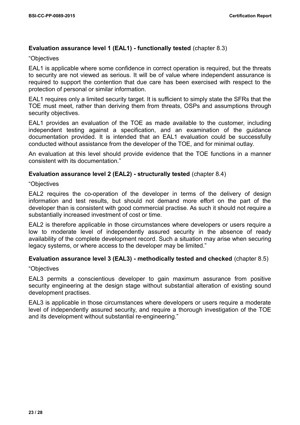## **Evaluation assurance level 1 (EAL1) - functionally tested** (chapter 8.3)

"Objectives

EAL1 is applicable where some confidence in correct operation is required, but the threats to security are not viewed as serious. It will be of value where independent assurance is required to support the contention that due care has been exercised with respect to the protection of personal or similar information.

EAL1 requires only a limited security target. It is sufficient to simply state the SFRs that the TOE must meet, rather than deriving them from threats, OSPs and assumptions through security objectives.

EAL1 provides an evaluation of the TOE as made available to the customer, including independent testing against a specification, and an examination of the guidance documentation provided. It is intended that an EAL1 evaluation could be successfully conducted without assistance from the developer of the TOE, and for minimal outlay.

An evaluation at this level should provide evidence that the TOE functions in a manner consistent with its documentation."

### **Evaluation assurance level 2 (EAL2) - structurally tested** (chapter 8.4)

"Objectives

EAL2 requires the co-operation of the developer in terms of the delivery of design information and test results, but should not demand more effort on the part of the developer than is consistent with good commercial practise. As such it should not require a substantially increased investment of cost or time.

EAL2 is therefore applicable in those circumstances where developers or users require a low to moderate level of independently assured security in the absence of ready availability of the complete development record. Such a situation may arise when securing legacy systems, or where access to the developer may be limited."

### **Evaluation assurance level 3 (EAL3) - methodically tested and checked** (chapter 8.5)

"Objectives

EAL3 permits a conscientious developer to gain maximum assurance from positive security engineering at the design stage without substantial alteration of existing sound development practises.

EAL3 is applicable in those circumstances where developers or users require a moderate level of independently assured security, and require a thorough investigation of the TOE and its development without substantial re-engineering."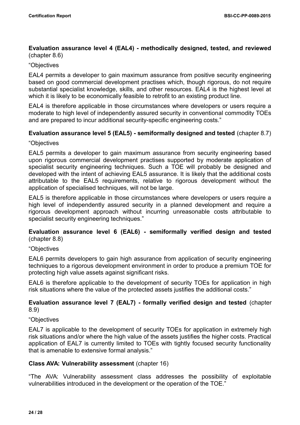### **Evaluation assurance level 4 (EAL4) - methodically designed, tested, and reviewed** (chapter 8.6)

## "Objectives

EAL4 permits a developer to gain maximum assurance from positive security engineering based on good commercial development practises which, though rigorous, do not require substantial specialist knowledge, skills, and other resources. EAL4 is the highest level at which it is likely to be economically feasible to retrofit to an existing product line.

EAL4 is therefore applicable in those circumstances where developers or users require a moderate to high level of independently assured security in conventional commodity TOEs and are prepared to incur additional security-specific engineering costs."

## **Evaluation assurance level 5 (EAL5) - semiformally designed and tested** (chapter 8.7)

## "Objectives

EAL5 permits a developer to gain maximum assurance from security engineering based upon rigorous commercial development practises supported by moderate application of specialist security engineering techniques. Such a TOE will probably be designed and developed with the intent of achieving EAL5 assurance. It is likely that the additional costs attributable to the EAL5 requirements, relative to rigorous development without the application of specialised techniques, will not be large.

EAL5 is therefore applicable in those circumstances where developers or users require a high level of independently assured security in a planned development and require a rigorous development approach without incurring unreasonable costs attributable to specialist security engineering techniques."

## **Evaluation assurance level 6 (EAL6) - semiformally verified design and tested** (chapter 8.8)

### "Objectives

EAL6 permits developers to gain high assurance from application of security engineering techniques to a rigorous development environment in order to produce a premium TOE for protecting high value assets against significant risks.

EAL6 is therefore applicable to the development of security TOEs for application in high risk situations where the value of the protected assets justifies the additional costs."

## **Evaluation assurance level 7 (EAL7) - formally verified design and tested** (chapter 8.9)

### "Objectives

EAL7 is applicable to the development of security TOEs for application in extremely high risk situations and/or where the high value of the assets justifies the higher costs. Practical application of EAL7 is currently limited to TOEs with tightly focused security functionality that is amenable to extensive formal analysis."

## **Class AVA: Vulnerability assessment** (chapter 16)

"The AVA: Vulnerability assessment class addresses the possibility of exploitable vulnerabilities introduced in the development or the operation of the TOE."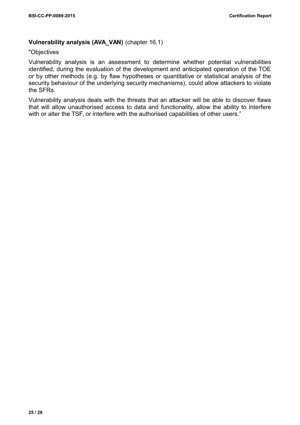## **Vulnerability analysis (AVA\_VAN)** (chapter 16.1)

### "Objectives

Vulnerability analysis is an assessment to determine whether potential vulnerabilities identified, during the evaluation of the development and anticipated operation of the TOE or by other methods (e.g. by flaw hypotheses or quantitative or statistical analysis of the security behaviour of the underlying security mechanisms), could allow attackers to violate the SFRs.

Vulnerability analysis deals with the threats that an attacker will be able to discover flaws that will allow unauthorised access to data and functionality, allow the ability to interfere with or alter the TSF, or interfere with the authorised capabilities of other users."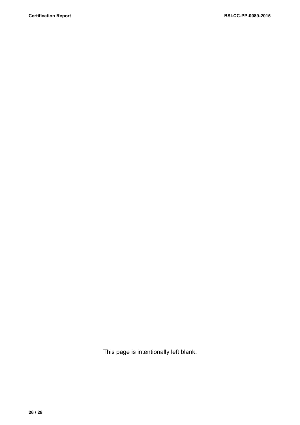This page is intentionally left blank.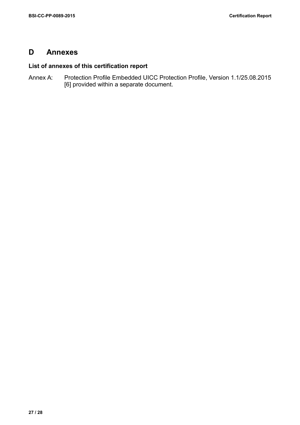# **D Annexes**

## **List of annexes of this certification report**

Annex A: Protection Profile Embedded UICC Protection Profile, Version 1.1/25.08.2015 [6] provided within a separate document.